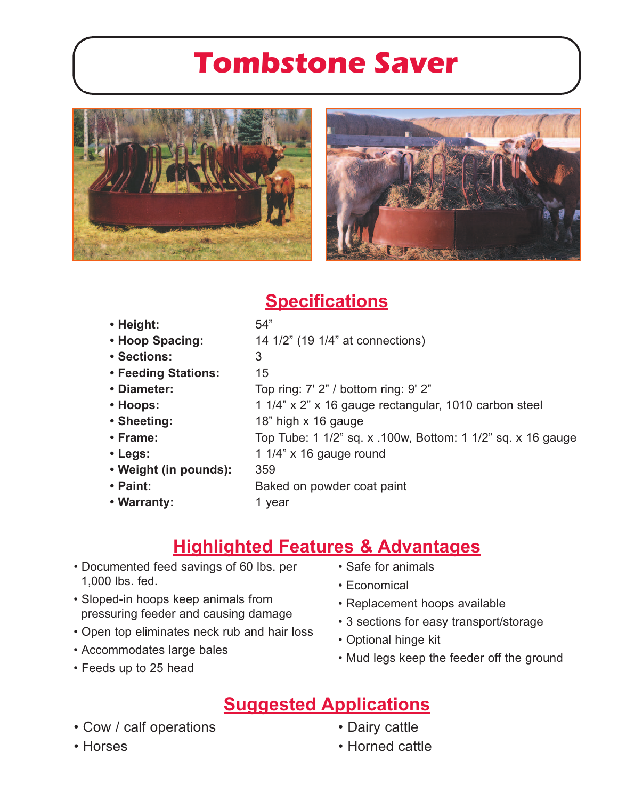# **Tombstone Saver**



### **Specifications**

| • Height:             | 54"                                                         |
|-----------------------|-------------------------------------------------------------|
| • Hoop Spacing:       | 14 1/2" (19 1/4" at connections)                            |
| • Sections:           | 3                                                           |
| • Feeding Stations:   | 15                                                          |
| • Diameter:           | Top ring: 7' 2" / bottom ring: 9' 2"                        |
| • Hoops:              | 1 1/4" x 2" x 16 gauge rectangular, 1010 carbon steel       |
| • Sheeting:           | 18" high x 16 gauge                                         |
| $\cdot$ Frame:        | Top Tube: 1 1/2" sq. x .100w, Bottom: 1 1/2" sq. x 16 gauge |
| $\cdot$ Legs:         | 1 $1/4$ " x 16 gauge round                                  |
| • Weight (in pounds): | 359                                                         |
| • Paint:              | Baked on powder coat paint                                  |
| • Warranty:           | 1 year                                                      |
|                       |                                                             |

## **Highlighted Features & Advantages**

- Documented feed savings of 60 lbs. per 1,000 lbs. fed.
- Sloped-in hoops keep animals from pressuring feeder and causing damage
- Open top eliminates neck rub and hair loss
- Accommodates large bales
- Feeds up to 25 head
- Safe for animals
- Economical
- Replacement hoops available
- 3 sections for easy transport/storage
- Optional hinge kit
- Mud legs keep the feeder off the ground

#### **Suggested Applications**

- Cow / calf operations
- Horses
- Dairy cattle
- Horned cattle